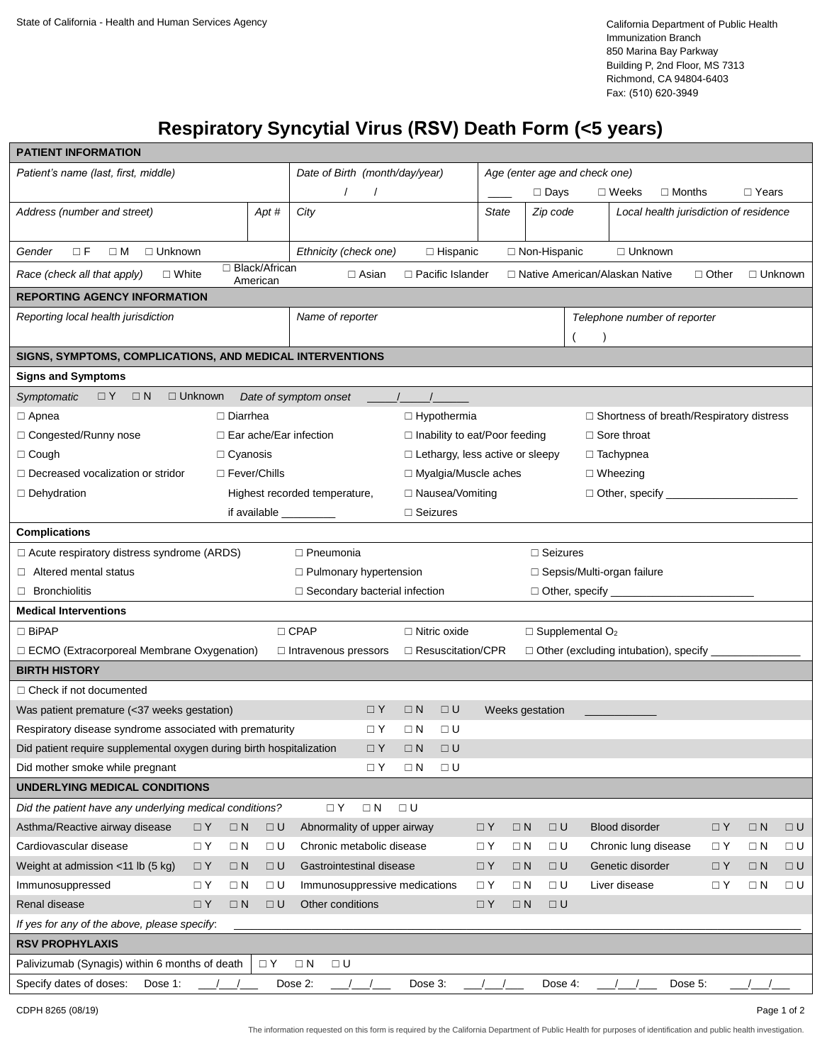California Department of Public Health Immunization Branch 850 Marina Bay Parkway Building P, 2nd Floor, MS 7313 Richmond, CA 94804-6403 Fax: (510) 620-3949

# **Respiratory Syncytial Virus (RSV) Death Form (<5 years)**

| <b>PATIENT INFORMATION</b>                                                                                                                                                                  |                               |                     |                                |                   |                                        |                                                                          |                              |                              |                                                 |                                        |             |              |          |  |
|---------------------------------------------------------------------------------------------------------------------------------------------------------------------------------------------|-------------------------------|---------------------|--------------------------------|-------------------|----------------------------------------|--------------------------------------------------------------------------|------------------------------|------------------------------|-------------------------------------------------|----------------------------------------|-------------|--------------|----------|--|
| Patient's name (last, first, middle)                                                                                                                                                        |                               |                     | Date of Birth (month/day/year) |                   |                                        |                                                                          |                              |                              | Age (enter age and check one)                   |                                        |             |              |          |  |
|                                                                                                                                                                                             |                               |                     |                                |                   |                                        |                                                                          | $\Box$ Days                  |                              | $\Box$ Weeks                                    | $\Box$ Months                          |             | $\Box$ Years |          |  |
| Address (number and street)                                                                                                                                                                 |                               | Apt#                | City                           |                   |                                        | State                                                                    | Zip code                     |                              |                                                 | Local health jurisdiction of residence |             |              |          |  |
|                                                                                                                                                                                             |                               |                     |                                |                   |                                        |                                                                          |                              |                              |                                                 |                                        |             |              |          |  |
| $\Box F$<br>$\Box$ M<br>$\Box$ Unknown<br>Gender                                                                                                                                            |                               |                     | Ethnicity (check one)          |                   | $\Box$ Hispanic                        |                                                                          | $\Box$ Non-Hispanic          |                              | $\Box$ Unknown                                  |                                        |             |              |          |  |
| □ Black/African<br>$\Box$ Pacific Islander<br>$\Box$ White<br>$\Box$ Asian<br>□ Native American/Alaskan Native<br>$\Box$ Other<br>$\Box$ Unknown<br>Race (check all that apply)<br>American |                               |                     |                                |                   |                                        |                                                                          |                              |                              |                                                 |                                        |             |              |          |  |
| <b>REPORTING AGENCY INFORMATION</b>                                                                                                                                                         |                               |                     |                                |                   |                                        |                                                                          |                              |                              |                                                 |                                        |             |              |          |  |
| Reporting local health jurisdiction<br>Name of reporter                                                                                                                                     |                               |                     |                                |                   |                                        |                                                                          | Telephone number of reporter |                              |                                                 |                                        |             |              |          |  |
|                                                                                                                                                                                             |                               |                     |                                |                   |                                        |                                                                          |                              |                              |                                                 |                                        |             |              |          |  |
| SIGNS, SYMPTOMS, COMPLICATIONS, AND MEDICAL INTERVENTIONS                                                                                                                                   |                               |                     |                                |                   |                                        |                                                                          |                              |                              |                                                 |                                        |             |              |          |  |
| <b>Signs and Symptoms</b>                                                                                                                                                                   |                               |                     |                                |                   |                                        |                                                                          |                              |                              |                                                 |                                        |             |              |          |  |
| $\Box Y$<br>$\Box N$<br>Symptomatic                                                                                                                                                         | $\Box$ Unknown                |                     | Date of symptom onset          |                   |                                        |                                                                          |                              |                              |                                                 |                                        |             |              |          |  |
| $\Box$ Apnea                                                                                                                                                                                | $\Box$ Diarrhea               |                     |                                |                   | □ Hypothermia                          |                                                                          |                              |                              | $\Box$ Shortness of breath/Respiratory distress |                                        |             |              |          |  |
| □ Congested/Runny nose                                                                                                                                                                      | $\Box$ Ear ache/Ear infection |                     |                                |                   | $\Box$ Inability to eat/Poor feeding   |                                                                          |                              |                              | $\Box$ Sore throat                              |                                        |             |              |          |  |
| $\Box$ Cough                                                                                                                                                                                | $\Box$ Cyanosis               |                     |                                |                   | $\Box$ Lethargy, less active or sleepy |                                                                          |                              |                              | $\Box$ Tachypnea                                |                                        |             |              |          |  |
| $\Box$ Decreased vocalization or stridor                                                                                                                                                    |                               | $\Box$ Fever/Chills |                                |                   | □ Myalgia/Muscle aches                 |                                                                          |                              |                              | $\Box$ Wheezing                                 |                                        |             |              |          |  |
| $\Box$ Dehydration                                                                                                                                                                          |                               |                     | Highest recorded temperature,  | □ Nausea/Vomiting |                                        |                                                                          |                              | $\Box$ Other, specify $\Box$ |                                                 |                                        |             |              |          |  |
|                                                                                                                                                                                             |                               |                     | if available _________         | $\Box$ Seizures   |                                        |                                                                          |                              |                              |                                                 |                                        |             |              |          |  |
| <b>Complications</b>                                                                                                                                                                        |                               |                     |                                |                   |                                        |                                                                          |                              |                              |                                                 |                                        |             |              |          |  |
| □ Acute respiratory distress syndrome (ARDS)<br>$\Box$ Pneumonia<br>$\Box$ Seizures                                                                                                         |                               |                     |                                |                   |                                        |                                                                          |                              |                              |                                                 |                                        |             |              |          |  |
| $\Box$ Altered mental status<br>$\Box$ Pulmonary hypertension                                                                                                                               |                               |                     |                                |                   | $\Box$ Sepsis/Multi-organ failure      |                                                                          |                              |                              |                                                 |                                        |             |              |          |  |
| $\Box$ Bronchiolitis<br>$\Box$ Secondary bacterial infection<br>$\Box$ Other, specify $\Box$                                                                                                |                               |                     |                                |                   |                                        |                                                                          |                              |                              |                                                 |                                        |             |              |          |  |
| <b>Medical Interventions</b>                                                                                                                                                                |                               |                     |                                |                   |                                        |                                                                          |                              |                              |                                                 |                                        |             |              |          |  |
| $\Box$ BiPAP                                                                                                                                                                                | $\Box$ CPAP                   |                     |                                |                   | $\Box$ Nitric oxide                    |                                                                          |                              |                              | $\Box$ Supplemental O <sub>2</sub>              |                                        |             |              |          |  |
| $\Box$ ECMO (Extracorporeal Membrane Oxygenation)<br>$\Box$ Intravenous pressors                                                                                                            |                               |                     |                                |                   |                                        | $\Box$ Other (excluding intubation), specify<br>$\Box$ Resuscitation/CPR |                              |                              |                                                 |                                        |             |              |          |  |
| <b>BIRTH HISTORY</b>                                                                                                                                                                        |                               |                     |                                |                   |                                        |                                                                          |                              |                              |                                                 |                                        |             |              |          |  |
| $\Box$ Check if not documented                                                                                                                                                              |                               |                     |                                |                   |                                        |                                                                          |                              |                              |                                                 |                                        |             |              |          |  |
| Was patient premature (<37 weeks gestation)<br>$\Box$ Y                                                                                                                                     |                               |                     |                                | $\Box N$          | $\Box$ U                               | Weeks gestation                                                          |                              |                              |                                                 |                                        |             |              |          |  |
| Respiratory disease syndrome associated with prematurity<br>$\Box$ Y<br>$\Box N$<br>□ U                                                                                                     |                               |                     |                                |                   |                                        |                                                                          |                              |                              |                                                 |                                        |             |              |          |  |
| Did patient require supplemental oxygen during birth hospitalization                                                                                                                        |                               |                     | $\Box$ Y                       | $\Box$ N          | $\Box$ U                               |                                                                          |                              |                              |                                                 |                                        |             |              |          |  |
| Did mother smoke while pregnant                                                                                                                                                             |                               |                     | $\Box$ Y                       | $\Box N$          | □ U                                    |                                                                          |                              |                              |                                                 |                                        |             |              |          |  |
| <b>UNDERLYING MEDICAL CONDITIONS</b>                                                                                                                                                        |                               |                     |                                |                   |                                        |                                                                          |                              |                              |                                                 |                                        |             |              |          |  |
| Did the patient have any underlying medical conditions?                                                                                                                                     |                               |                     | $\Box$ N<br>$\Box$ Y           | $\Box$ U          |                                        |                                                                          |                              |                              |                                                 |                                        |             |              |          |  |
| Asthma/Reactive airway disease                                                                                                                                                              | $\Box Y$                      | $\square$           | Abnormality of upper airway    |                   |                                        | $\Box Y$                                                                 |                              | $\Box$ U                     | Blood disorder                                  |                                        | $\square$ Y | $\Box N$     | $\Box$ U |  |
| Cardiovascular disease                                                                                                                                                                      | $\Box Y$<br>$\Box N$          | $\Box$ U            | Chronic metabolic disease      |                   |                                        | $\Box$ Y                                                                 | $\Box N$                     | $\Box$ U                     | Chronic lung disease                            |                                        | $\Box Y$    | $\Box N$     | $\Box$ U |  |
| Weight at admission $<$ 11 lb (5 kg)                                                                                                                                                        | $\Box N$<br>$\Box$ Y          | $\Box$ U            | Gastrointestinal disease       |                   |                                        | $\Box Y$                                                                 | $\Box$ N                     | $\Box$ U                     | Genetic disorder                                |                                        | $\Box Y$    | $\Box$ N     | $\Box$ U |  |
| Immunosuppressed                                                                                                                                                                            | $\Box$ N<br>$\Box$ Y          | $\Box$ U            | Immunosuppressive medications  |                   |                                        | $\Box$ Y                                                                 | $\Box N$                     | $\square$<br>$\sf U$         | Liver disease                                   |                                        | $\Box Y$    | $\Box N$     | $\Box$ U |  |
| Renal disease                                                                                                                                                                               | $\Box N$<br>$\Box$ Y          | $\Box$ U            | Other conditions               |                   |                                        | $\Box Y$                                                                 | $\Box N$                     | $\Box$ U                     |                                                 |                                        |             |              |          |  |
| If yes for any of the above, please specify:                                                                                                                                                |                               |                     |                                |                   |                                        |                                                                          |                              |                              |                                                 |                                        |             |              |          |  |
| <b>RSV PROPHYLAXIS</b>                                                                                                                                                                      |                               |                     |                                |                   |                                        |                                                                          |                              |                              |                                                 |                                        |             |              |          |  |
| Palivizumab (Synagis) within 6 months of death                                                                                                                                              |                               | $\square$ Y         | $\Box N$<br>$\Box$ U           |                   |                                        |                                                                          |                              |                              |                                                 |                                        |             |              |          |  |
| Specify dates of doses:<br>Dose 1:                                                                                                                                                          |                               |                     | Dose 2:                        | Dose 3:           |                                        |                                                                          |                              | Dose 4:                      |                                                 | Dose 5:                                |             |              |          |  |